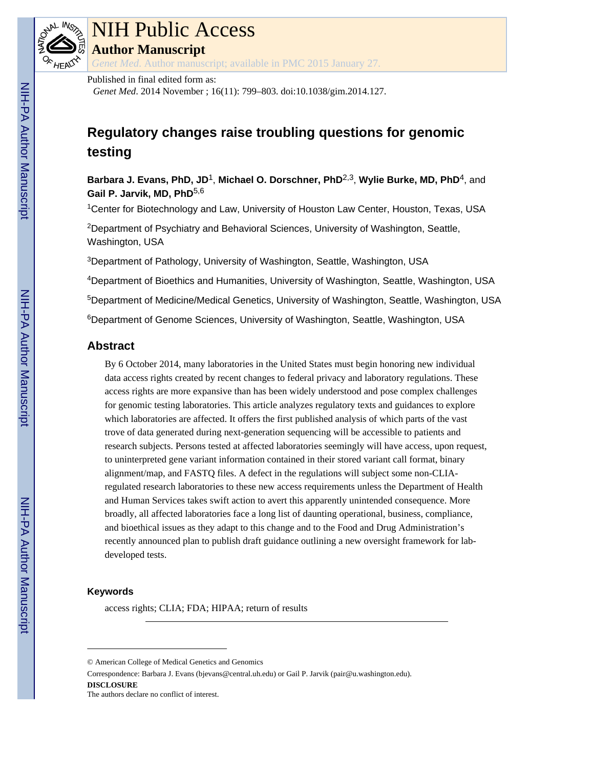

# NIH Public Access

**Author Manuscript**

*Genet Med*. Author manuscript; available in PMC 2015 January 27.

#### Published in final edited form as:

*Genet Med*. 2014 November ; 16(11): 799–803. doi:10.1038/gim.2014.127.

# **Regulatory changes raise troubling questions for genomic testing**

**Barbara J. Evans, PhD, JD**1, **Michael O. Dorschner, PhD**2,3, **Wylie Burke, MD, PhD**4, and **Gail P. Jarvik, MD, PhD**5,6

<sup>1</sup>Center for Biotechnology and Law, University of Houston Law Center, Houston, Texas, USA

<sup>2</sup>Department of Psychiatry and Behavioral Sciences, University of Washington, Seattle, Washington, USA

<sup>3</sup>Department of Pathology, University of Washington, Seattle, Washington, USA

<sup>4</sup>Department of Bioethics and Humanities, University of Washington, Seattle, Washington, USA

<sup>5</sup>Department of Medicine/Medical Genetics, University of Washington, Seattle, Washington, USA

<sup>6</sup>Department of Genome Sciences, University of Washington, Seattle, Washington, USA

# **Abstract**

By 6 October 2014, many laboratories in the United States must begin honoring new individual data access rights created by recent changes to federal privacy and laboratory regulations. These access rights are more expansive than has been widely understood and pose complex challenges for genomic testing laboratories. This article analyzes regulatory texts and guidances to explore which laboratories are affected. It offers the first published analysis of which parts of the vast trove of data generated during next-generation sequencing will be accessible to patients and research subjects. Persons tested at affected laboratories seemingly will have access, upon request, to uninterpreted gene variant information contained in their stored variant call format, binary alignment/map, and FASTQ files. A defect in the regulations will subject some non-CLIAregulated research laboratories to these new access requirements unless the Department of Health and Human Services takes swift action to avert this apparently unintended consequence. More broadly, all affected laboratories face a long list of daunting operational, business, compliance, and bioethical issues as they adapt to this change and to the Food and Drug Administration's recently announced plan to publish draft guidance outlining a new oversight framework for labdeveloped tests.

#### **Keywords**

access rights; CLIA; FDA; HIPAA; return of results

Correspondence: Barbara J. Evans (bjevans@central.uh.edu) or Gail P. Jarvik (pair@u.washington.edu). **DISCLOSURE**

<sup>©</sup> American College of Medical Genetics and Genomics

The authors declare no conflict of interest.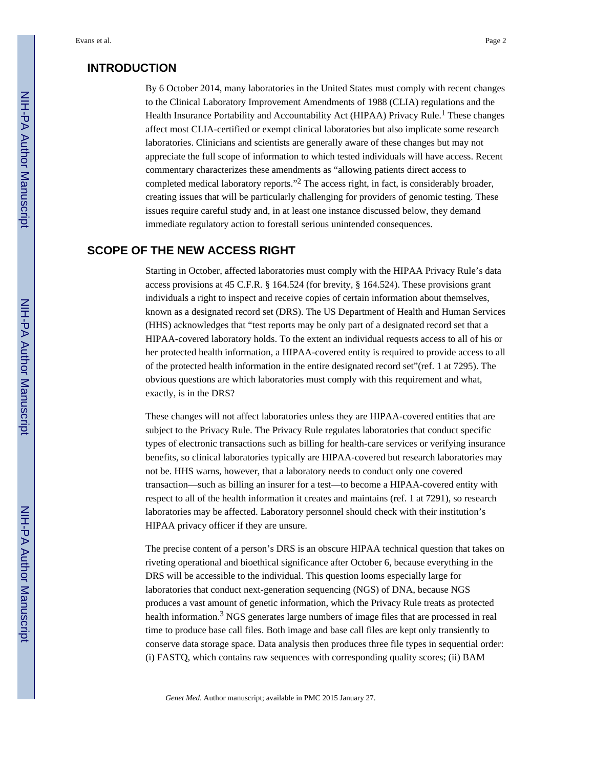# **INTRODUCTION**

By 6 October 2014, many laboratories in the United States must comply with recent changes to the Clinical Laboratory Improvement Amendments of 1988 (CLIA) regulations and the Health Insurance Portability and Accountability Act (HIPAA) Privacy Rule.<sup>1</sup> These changes affect most CLIA-certified or exempt clinical laboratories but also implicate some research laboratories. Clinicians and scientists are generally aware of these changes but may not appreciate the full scope of information to which tested individuals will have access. Recent commentary characterizes these amendments as "allowing patients direct access to completed medical laboratory reports."<sup>2</sup> The access right, in fact, is considerably broader, creating issues that will be particularly challenging for providers of genomic testing. These issues require careful study and, in at least one instance discussed below, they demand immediate regulatory action to forestall serious unintended consequences.

# **SCOPE OF THE NEW ACCESS RIGHT**

Starting in October, affected laboratories must comply with the HIPAA Privacy Rule's data access provisions at 45 C.F.R. § 164.524 (for brevity, § 164.524). These provisions grant individuals a right to inspect and receive copies of certain information about themselves, known as a designated record set (DRS). The US Department of Health and Human Services (HHS) acknowledges that "test reports may be only part of a designated record set that a HIPAA-covered laboratory holds. To the extent an individual requests access to all of his or her protected health information, a HIPAA-covered entity is required to provide access to all of the protected health information in the entire designated record set"(ref. 1 at 7295). The obvious questions are which laboratories must comply with this requirement and what, exactly, is in the DRS?

These changes will not affect laboratories unless they are HIPAA-covered entities that are subject to the Privacy Rule. The Privacy Rule regulates laboratories that conduct specific types of electronic transactions such as billing for health-care services or verifying insurance benefits, so clinical laboratories typically are HIPAA-covered but research laboratories may not be. HHS warns, however, that a laboratory needs to conduct only one covered transaction—such as billing an insurer for a test—to become a HIPAA-covered entity with respect to all of the health information it creates and maintains (ref. 1 at 7291), so research laboratories may be affected. Laboratory personnel should check with their institution's HIPAA privacy officer if they are unsure.

The precise content of a person's DRS is an obscure HIPAA technical question that takes on riveting operational and bioethical significance after October 6, because everything in the DRS will be accessible to the individual. This question looms especially large for laboratories that conduct next-generation sequencing (NGS) of DNA, because NGS produces a vast amount of genetic information, which the Privacy Rule treats as protected health information.<sup>3</sup> NGS generates large numbers of image files that are processed in real time to produce base call files. Both image and base call files are kept only transiently to conserve data storage space. Data analysis then produces three file types in sequential order: (i) FASTQ, which contains raw sequences with corresponding quality scores; (ii) BAM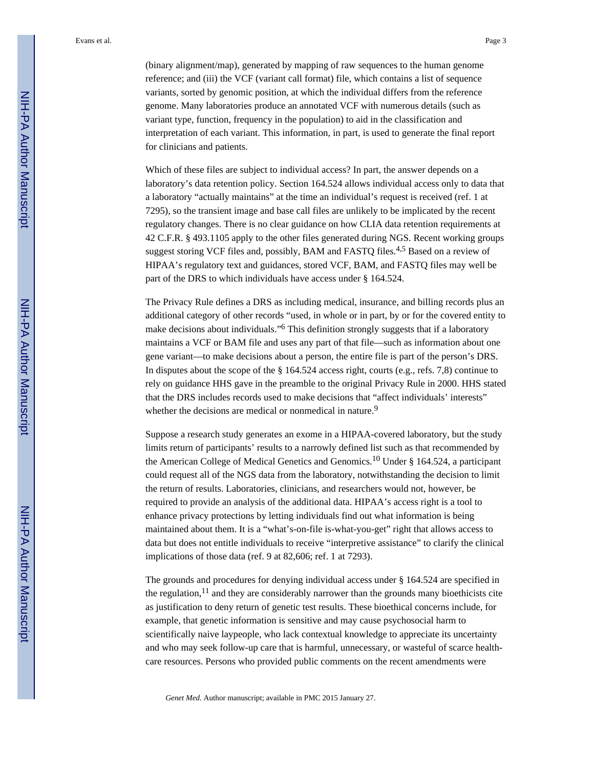Evans et al. Page 3

(binary alignment/map), generated by mapping of raw sequences to the human genome reference; and (iii) the VCF (variant call format) file, which contains a list of sequence variants, sorted by genomic position, at which the individual differs from the reference genome. Many laboratories produce an annotated VCF with numerous details (such as variant type, function, frequency in the population) to aid in the classification and interpretation of each variant. This information, in part, is used to generate the final report for clinicians and patients.

Which of these files are subject to individual access? In part, the answer depends on a laboratory's data retention policy. Section 164.524 allows individual access only to data that a laboratory "actually maintains" at the time an individual's request is received (ref. 1 at 7295), so the transient image and base call files are unlikely to be implicated by the recent regulatory changes. There is no clear guidance on how CLIA data retention requirements at 42 C.F.R. § 493.1105 apply to the other files generated during NGS. Recent working groups suggest storing VCF files and, possibly, BAM and FASTQ files.<sup>4,5</sup> Based on a review of HIPAA's regulatory text and guidances, stored VCF, BAM, and FASTQ files may well be part of the DRS to which individuals have access under § 164.524.

The Privacy Rule defines a DRS as including medical, insurance, and billing records plus an additional category of other records "used, in whole or in part, by or for the covered entity to make decisions about individuals."<sup>6</sup> This definition strongly suggests that if a laboratory maintains a VCF or BAM file and uses any part of that file—such as information about one gene variant—to make decisions about a person, the entire file is part of the person's DRS. In disputes about the scope of the § 164.524 access right, courts (e.g., refs. 7,8) continue to rely on guidance HHS gave in the preamble to the original Privacy Rule in 2000. HHS stated that the DRS includes records used to make decisions that "affect individuals' interests" whether the decisions are medical or nonmedical in nature.<sup>9</sup>

Suppose a research study generates an exome in a HIPAA-covered laboratory, but the study limits return of participants' results to a narrowly defined list such as that recommended by the American College of Medical Genetics and Genomics.10 Under § 164.524, a participant could request all of the NGS data from the laboratory, notwithstanding the decision to limit the return of results. Laboratories, clinicians, and researchers would not, however, be required to provide an analysis of the additional data. HIPAA's access right is a tool to enhance privacy protections by letting individuals find out what information is being maintained about them. It is a "what's-on-file is-what-you-get" right that allows access to data but does not entitle individuals to receive "interpretive assistance" to clarify the clinical implications of those data (ref. 9 at 82,606; ref. 1 at 7293).

The grounds and procedures for denying individual access under § 164.524 are specified in the regulation, $11$  and they are considerably narrower than the grounds many bioethicists cite as justification to deny return of genetic test results. These bioethical concerns include, for example, that genetic information is sensitive and may cause psychosocial harm to scientifically naive laypeople, who lack contextual knowledge to appreciate its uncertainty and who may seek follow-up care that is harmful, unnecessary, or wasteful of scarce healthcare resources. Persons who provided public comments on the recent amendments were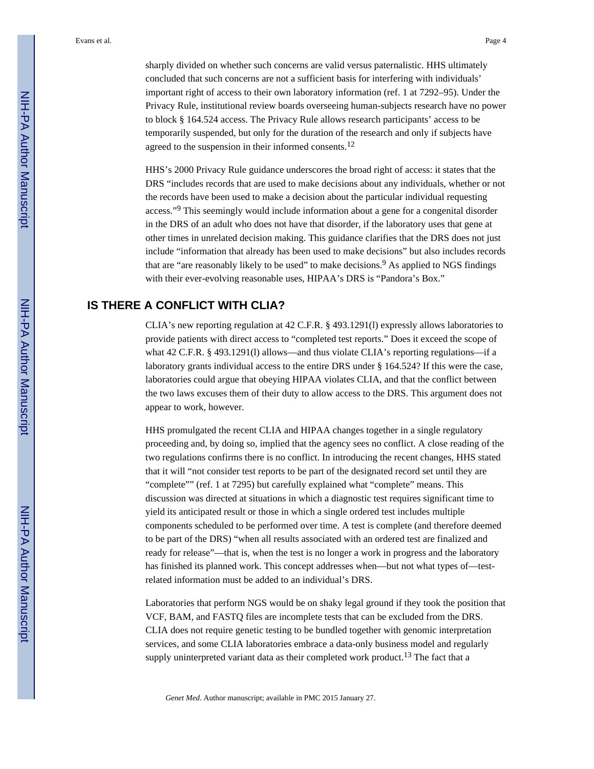sharply divided on whether such concerns are valid versus paternalistic. HHS ultimately concluded that such concerns are not a sufficient basis for interfering with individuals' important right of access to their own laboratory information (ref. 1 at 7292–95). Under the Privacy Rule, institutional review boards overseeing human-subjects research have no power to block § 164.524 access. The Privacy Rule allows research participants' access to be temporarily suspended, but only for the duration of the research and only if subjects have agreed to the suspension in their informed consents.<sup>12</sup>

HHS's 2000 Privacy Rule guidance underscores the broad right of access: it states that the DRS "includes records that are used to make decisions about any individuals, whether or not the records have been used to make a decision about the particular individual requesting access."<sup>9</sup> This seemingly would include information about a gene for a congenital disorder in the DRS of an adult who does not have that disorder, if the laboratory uses that gene at other times in unrelated decision making. This guidance clarifies that the DRS does not just include "information that already has been used to make decisions" but also includes records that are "are reasonably likely to be used" to make decisions.<sup>9</sup> As applied to NGS findings with their ever-evolving reasonable uses, HIPAA's DRS is "Pandora's Box."

## **IS THERE A CONFLICT WITH CLIA?**

CLIA's new reporting regulation at 42 C.F.R. § 493.1291(l) expressly allows laboratories to provide patients with direct access to "completed test reports." Does it exceed the scope of what 42 C.F.R. § 493.1291(l) allows—and thus violate CLIA's reporting regulations—if a laboratory grants individual access to the entire DRS under § 164.524? If this were the case, laboratories could argue that obeying HIPAA violates CLIA, and that the conflict between the two laws excuses them of their duty to allow access to the DRS. This argument does not appear to work, however.

HHS promulgated the recent CLIA and HIPAA changes together in a single regulatory proceeding and, by doing so, implied that the agency sees no conflict. A close reading of the two regulations confirms there is no conflict. In introducing the recent changes, HHS stated that it will "not consider test reports to be part of the designated record set until they are "complete"" (ref. 1 at 7295) but carefully explained what "complete" means. This discussion was directed at situations in which a diagnostic test requires significant time to yield its anticipated result or those in which a single ordered test includes multiple components scheduled to be performed over time. A test is complete (and therefore deemed to be part of the DRS) "when all results associated with an ordered test are finalized and ready for release"—that is, when the test is no longer a work in progress and the laboratory has finished its planned work. This concept addresses when—but not what types of—testrelated information must be added to an individual's DRS.

Laboratories that perform NGS would be on shaky legal ground if they took the position that VCF, BAM, and FASTQ files are incomplete tests that can be excluded from the DRS. CLIA does not require genetic testing to be bundled together with genomic interpretation services, and some CLIA laboratories embrace a data-only business model and regularly supply uninterpreted variant data as their completed work product.<sup>13</sup> The fact that a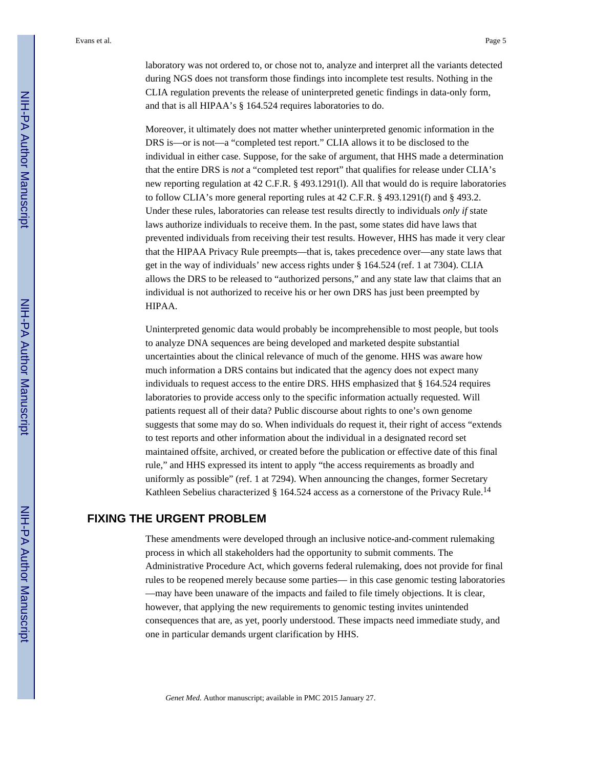laboratory was not ordered to, or chose not to, analyze and interpret all the variants detected during NGS does not transform those findings into incomplete test results. Nothing in the CLIA regulation prevents the release of uninterpreted genetic findings in data-only form, and that is all HIPAA's § 164.524 requires laboratories to do.

Moreover, it ultimately does not matter whether uninterpreted genomic information in the DRS is—or is not—a "completed test report." CLIA allows it to be disclosed to the individual in either case. Suppose, for the sake of argument, that HHS made a determination that the entire DRS is *not* a "completed test report" that qualifies for release under CLIA's new reporting regulation at 42 C.F.R. § 493.1291(l). All that would do is require laboratories to follow CLIA's more general reporting rules at 42 C.F.R. § 493.1291(f) and § 493.2. Under these rules, laboratories can release test results directly to individuals *only if* state laws authorize individuals to receive them. In the past, some states did have laws that prevented individuals from receiving their test results. However, HHS has made it very clear that the HIPAA Privacy Rule preempts—that is, takes precedence over—any state laws that get in the way of individuals' new access rights under § 164.524 (ref. 1 at 7304). CLIA allows the DRS to be released to "authorized persons," and any state law that claims that an individual is not authorized to receive his or her own DRS has just been preempted by HIPAA.

Uninterpreted genomic data would probably be incomprehensible to most people, but tools to analyze DNA sequences are being developed and marketed despite substantial uncertainties about the clinical relevance of much of the genome. HHS was aware how much information a DRS contains but indicated that the agency does not expect many individuals to request access to the entire DRS. HHS emphasized that § 164.524 requires laboratories to provide access only to the specific information actually requested. Will patients request all of their data? Public discourse about rights to one's own genome suggests that some may do so. When individuals do request it, their right of access "extends to test reports and other information about the individual in a designated record set maintained offsite, archived, or created before the publication or effective date of this final rule," and HHS expressed its intent to apply "the access requirements as broadly and uniformly as possible" (ref. 1 at 7294). When announcing the changes, former Secretary Kathleen Sebelius characterized § 164.524 access as a cornerstone of the Privacy Rule.<sup>14</sup>

### **FIXING THE URGENT PROBLEM**

These amendments were developed through an inclusive notice-and-comment rulemaking process in which all stakeholders had the opportunity to submit comments. The Administrative Procedure Act, which governs federal rulemaking, does not provide for final rules to be reopened merely because some parties— in this case genomic testing laboratories —may have been unaware of the impacts and failed to file timely objections. It is clear, however, that applying the new requirements to genomic testing invites unintended consequences that are, as yet, poorly understood. These impacts need immediate study, and one in particular demands urgent clarification by HHS.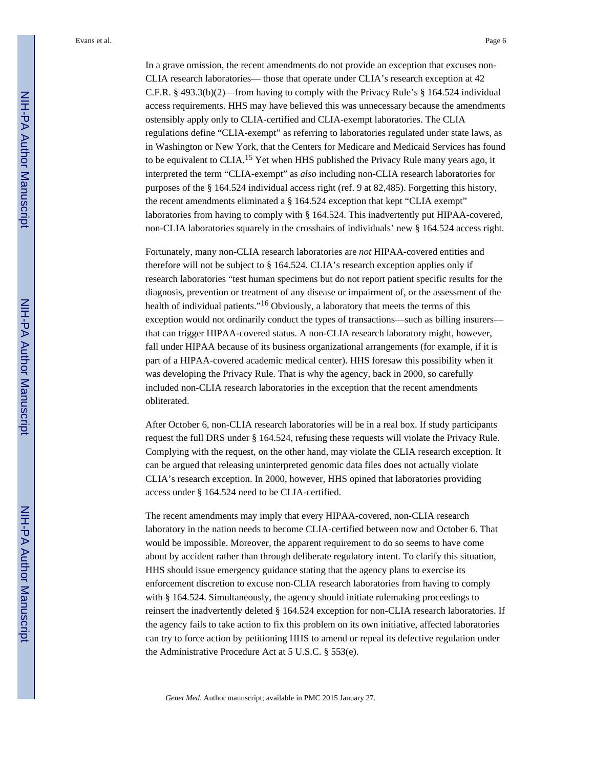Evans et al. Page 6

In a grave omission, the recent amendments do not provide an exception that excuses non-CLIA research laboratories— those that operate under CLIA's research exception at 42 C.F.R. § 493.3(b)(2)—from having to comply with the Privacy Rule's § 164.524 individual access requirements. HHS may have believed this was unnecessary because the amendments ostensibly apply only to CLIA-certified and CLIA-exempt laboratories. The CLIA regulations define "CLIA-exempt" as referring to laboratories regulated under state laws, as in Washington or New York, that the Centers for Medicare and Medicaid Services has found to be equivalent to CLIA.<sup>15</sup> Yet when HHS published the Privacy Rule many years ago, it interpreted the term "CLIA-exempt" as *also* including non-CLIA research laboratories for purposes of the § 164.524 individual access right (ref. 9 at 82,485). Forgetting this history, the recent amendments eliminated a  $\S$  164.524 exception that kept "CLIA exempt" laboratories from having to comply with § 164.524. This inadvertently put HIPAA-covered, non-CLIA laboratories squarely in the crosshairs of individuals' new § 164.524 access right.

Fortunately, many non-CLIA research laboratories are *not* HIPAA-covered entities and therefore will not be subject to § 164.524. CLIA's research exception applies only if research laboratories "test human specimens but do not report patient specific results for the diagnosis, prevention or treatment of any disease or impairment of, or the assessment of the health of individual patients."<sup>16</sup> Obviously, a laboratory that meets the terms of this exception would not ordinarily conduct the types of transactions—such as billing insurers that can trigger HIPAA-covered status. A non-CLIA research laboratory might, however, fall under HIPAA because of its business organizational arrangements (for example, if it is part of a HIPAA-covered academic medical center). HHS foresaw this possibility when it was developing the Privacy Rule. That is why the agency, back in 2000, so carefully included non-CLIA research laboratories in the exception that the recent amendments obliterated.

After October 6, non-CLIA research laboratories will be in a real box. If study participants request the full DRS under § 164.524, refusing these requests will violate the Privacy Rule. Complying with the request, on the other hand, may violate the CLIA research exception. It can be argued that releasing uninterpreted genomic data files does not actually violate CLIA's research exception. In 2000, however, HHS opined that laboratories providing access under § 164.524 need to be CLIA-certified.

The recent amendments may imply that every HIPAA-covered, non-CLIA research laboratory in the nation needs to become CLIA-certified between now and October 6. That would be impossible. Moreover, the apparent requirement to do so seems to have come about by accident rather than through deliberate regulatory intent. To clarify this situation, HHS should issue emergency guidance stating that the agency plans to exercise its enforcement discretion to excuse non-CLIA research laboratories from having to comply with § 164.524. Simultaneously, the agency should initiate rulemaking proceedings to reinsert the inadvertently deleted § 164.524 exception for non-CLIA research laboratories. If the agency fails to take action to fix this problem on its own initiative, affected laboratories can try to force action by petitioning HHS to amend or repeal its defective regulation under the Administrative Procedure Act at 5 U.S.C. § 553(e).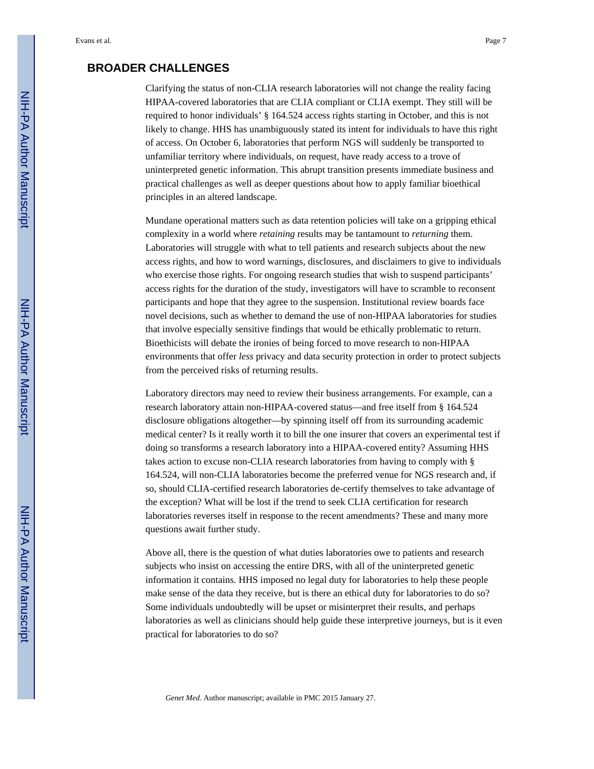### **BROADER CHALLENGES**

Clarifying the status of non-CLIA research laboratories will not change the reality facing HIPAA-covered laboratories that are CLIA compliant or CLIA exempt. They still will be required to honor individuals' § 164.524 access rights starting in October, and this is not likely to change. HHS has unambiguously stated its intent for individuals to have this right of access. On October 6, laboratories that perform NGS will suddenly be transported to unfamiliar territory where individuals, on request, have ready access to a trove of uninterpreted genetic information. This abrupt transition presents immediate business and practical challenges as well as deeper questions about how to apply familiar bioethical principles in an altered landscape.

Mundane operational matters such as data retention policies will take on a gripping ethical complexity in a world where *retaining* results may be tantamount to *returning* them. Laboratories will struggle with what to tell patients and research subjects about the new access rights, and how to word warnings, disclosures, and disclaimers to give to individuals who exercise those rights. For ongoing research studies that wish to suspend participants' access rights for the duration of the study, investigators will have to scramble to reconsent participants and hope that they agree to the suspension. Institutional review boards face novel decisions, such as whether to demand the use of non-HIPAA laboratories for studies that involve especially sensitive findings that would be ethically problematic to return. Bioethicists will debate the ironies of being forced to move research to non-HIPAA environments that offer *less* privacy and data security protection in order to protect subjects from the perceived risks of returning results.

Laboratory directors may need to review their business arrangements. For example, can a research laboratory attain non-HIPAA-covered status—and free itself from § 164.524 disclosure obligations altogether—by spinning itself off from its surrounding academic medical center? Is it really worth it to bill the one insurer that covers an experimental test if doing so transforms a research laboratory into a HIPAA-covered entity? Assuming HHS takes action to excuse non-CLIA research laboratories from having to comply with § 164.524, will non-CLIA laboratories become the preferred venue for NGS research and, if so, should CLIA-certified research laboratories de-certify themselves to take advantage of the exception? What will be lost if the trend to seek CLIA certification for research laboratories reverses itself in response to the recent amendments? These and many more questions await further study.

Above all, there is the question of what duties laboratories owe to patients and research subjects who insist on accessing the entire DRS, with all of the uninterpreted genetic information it contains. HHS imposed no legal duty for laboratories to help these people make sense of the data they receive, but is there an ethical duty for laboratories to do so? Some individuals undoubtedly will be upset or misinterpret their results, and perhaps laboratories as well as clinicians should help guide these interpretive journeys, but is it even practical for laboratories to do so?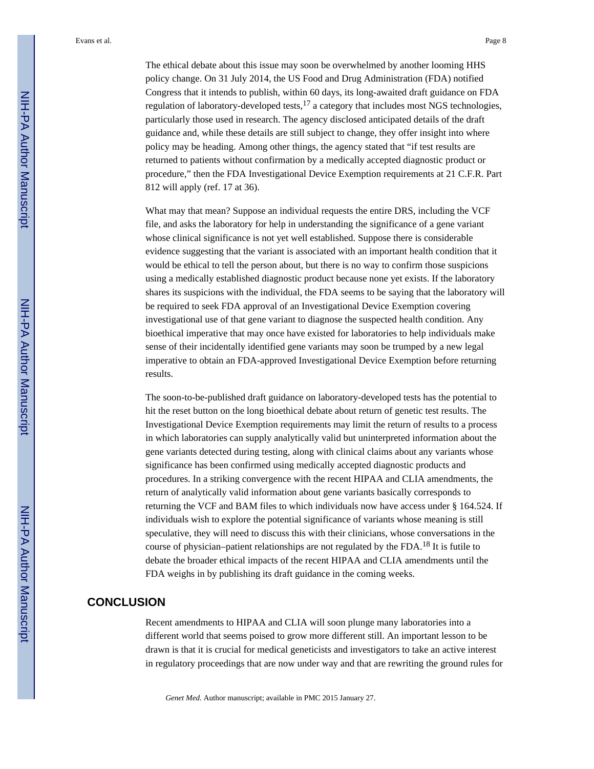Evans et al. Page 8

The ethical debate about this issue may soon be overwhelmed by another looming HHS policy change. On 31 July 2014, the US Food and Drug Administration (FDA) notified Congress that it intends to publish, within 60 days, its long-awaited draft guidance on FDA regulation of laboratory-developed tests,  $17$  a category that includes most NGS technologies, particularly those used in research. The agency disclosed anticipated details of the draft guidance and, while these details are still subject to change, they offer insight into where policy may be heading. Among other things, the agency stated that "if test results are returned to patients without confirmation by a medically accepted diagnostic product or procedure," then the FDA Investigational Device Exemption requirements at 21 C.F.R. Part 812 will apply (ref. 17 at 36).

What may that mean? Suppose an individual requests the entire DRS, including the VCF file, and asks the laboratory for help in understanding the significance of a gene variant whose clinical significance is not yet well established. Suppose there is considerable evidence suggesting that the variant is associated with an important health condition that it would be ethical to tell the person about, but there is no way to confirm those suspicions using a medically established diagnostic product because none yet exists. If the laboratory shares its suspicions with the individual, the FDA seems to be saying that the laboratory will be required to seek FDA approval of an Investigational Device Exemption covering investigational use of that gene variant to diagnose the suspected health condition. Any bioethical imperative that may once have existed for laboratories to help individuals make sense of their incidentally identified gene variants may soon be trumped by a new legal imperative to obtain an FDA-approved Investigational Device Exemption before returning results.

The soon-to-be-published draft guidance on laboratory-developed tests has the potential to hit the reset button on the long bioethical debate about return of genetic test results. The Investigational Device Exemption requirements may limit the return of results to a process in which laboratories can supply analytically valid but uninterpreted information about the gene variants detected during testing, along with clinical claims about any variants whose significance has been confirmed using medically accepted diagnostic products and procedures. In a striking convergence with the recent HIPAA and CLIA amendments, the return of analytically valid information about gene variants basically corresponds to returning the VCF and BAM files to which individuals now have access under § 164.524. If individuals wish to explore the potential significance of variants whose meaning is still speculative, they will need to discuss this with their clinicians, whose conversations in the course of physician–patient relationships are not regulated by the FDA.18 It is futile to debate the broader ethical impacts of the recent HIPAA and CLIA amendments until the FDA weighs in by publishing its draft guidance in the coming weeks.

#### **CONCLUSION**

Recent amendments to HIPAA and CLIA will soon plunge many laboratories into a different world that seems poised to grow more different still. An important lesson to be drawn is that it is crucial for medical geneticists and investigators to take an active interest in regulatory proceedings that are now under way and that are rewriting the ground rules for